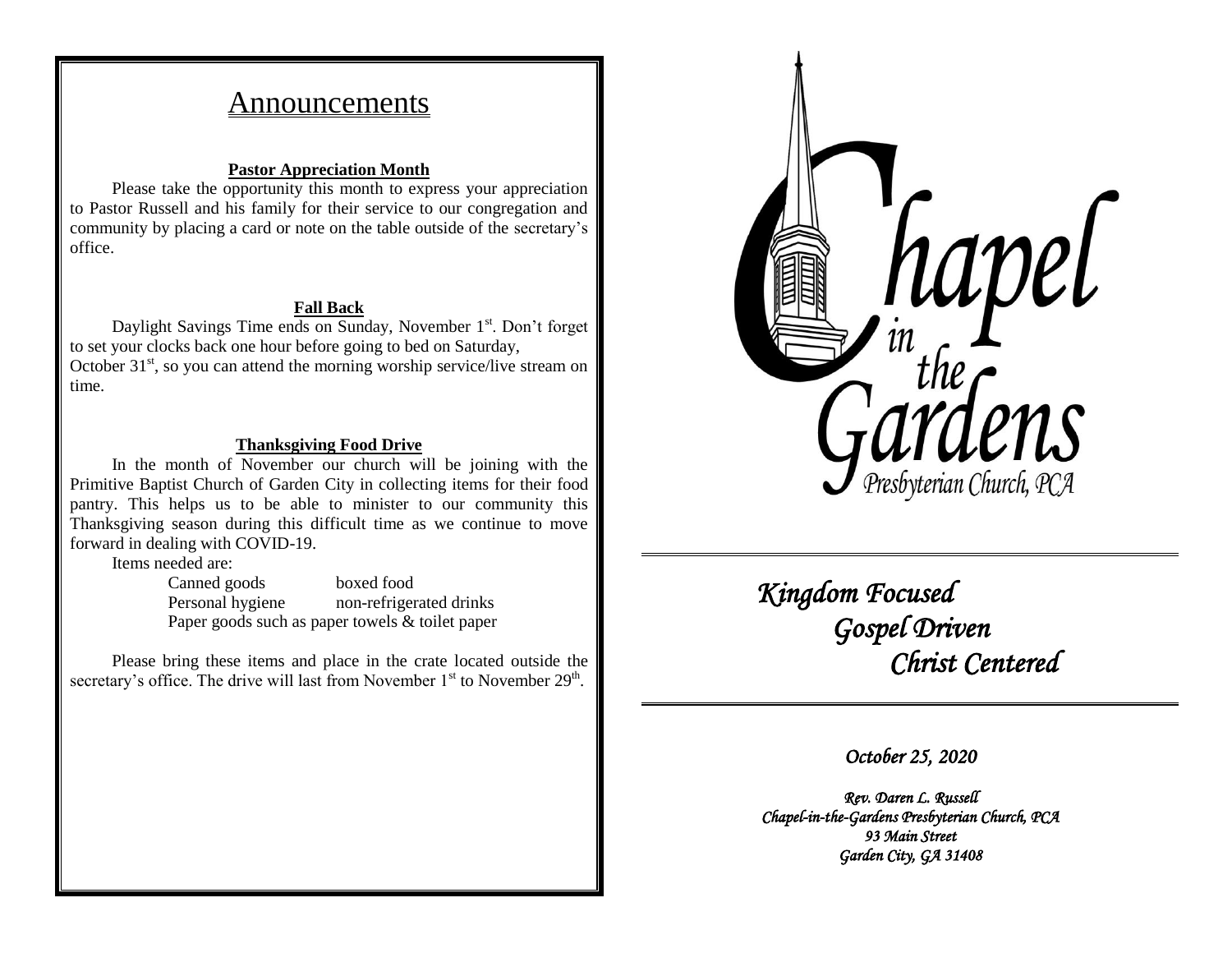# Announcements

#### **Pastor Appreciation Month**

Please take the opportunity this month to express your appreciation to Pastor Russell and his family for their service to our congregation and community by placing a card or note on the table outside of the secretary's office.

#### **Fall Back**

Daylight Savings Time ends on Sunday, November 1<sup>st</sup>. Don't forget to set your clocks back one hour before going to bed on Saturday, October  $31<sup>st</sup>$ , so you can attend the morning worship service/live stream on time.

#### **Thanksgiving Food Drive**

In the month of November our church will be joining with the Primitive Baptist Church of Garden City in collecting items for their food pantry. This helps us to be able to minister to our community this Thanksgiving season during this difficult time as we continue to move forward in dealing with COVID-19.

Items needed are:

Canned goods boxed food Personal hygiene non-refrigerated drinks Paper goods such as paper towels & toilet paper

Please bring these items and place in the crate located outside the secretary's office. The drive will last from November  $1<sup>st</sup>$  to November  $29<sup>th</sup>$ .



 *Kingdom Focused Gospel Driven Christ Centered* 

*October 25, 2020* 

*Rev. Daren L. Russell Chapel-in-the-Gardens Presbyterian Church, PCA 93 Main Street Garden City, GA 31408*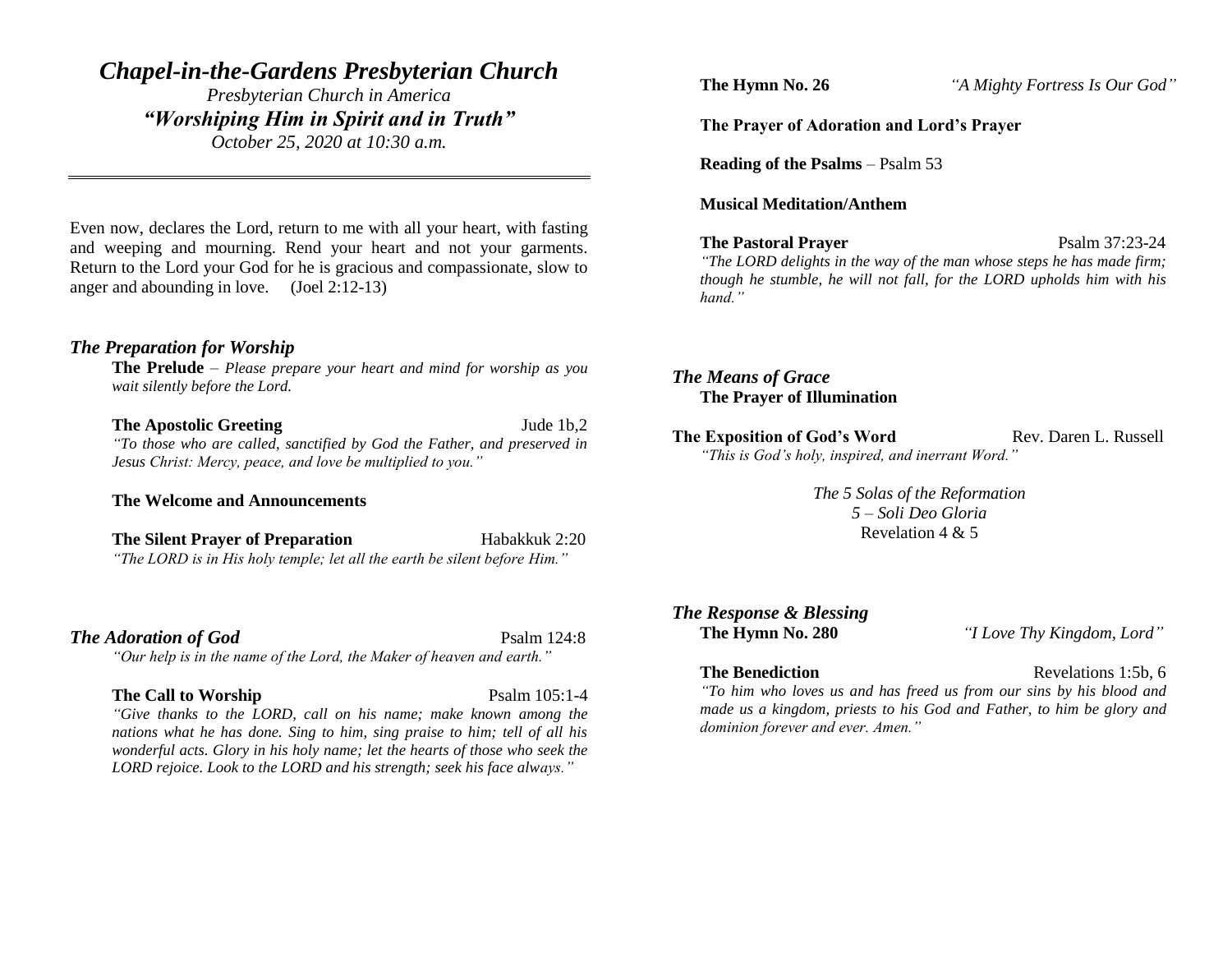# *Chapel-in-the-Gardens Presbyterian Church*

*Presbyterian Church in America "Worshiping Him in Spirit and in Truth" October 25, 2020 at 10:30 a.m.*

Even now, declares the Lord, return to me with all your heart, with fasting and weeping and mourning. Rend your heart and not your garments. Return to the Lord your God for he is gracious and compassionate, slow to anger and abounding in love. (Joel 2:12-13)

#### *The Preparation for Worship*

**The Prelude** – *Please prepare your heart and mind for worship as you wait silently before the Lord.*

**The Apostolic Greeting Jude 1b,2** 

*"To those who are called, sanctified by God the Father, and preserved in Jesus Christ: Mercy, peace, and love be multiplied to you."*

**The Welcome and Announcements**

**The Silent Prayer of Preparation** Habakkuk 2:20 *"The LORD is in His holy temple; let all the earth be silent before Him."*

#### **The Adoration of God** Psalm 124:8

*"Our help is in the name of the Lord, the Maker of heaven and earth."*

#### **The Call to Worship** Psalm 105:1-4

*"Give thanks to the LORD, call on his name; make known among the nations what he has done. Sing to him, sing praise to him; tell of all his wonderful acts. Glory in his holy name; let the hearts of those who seek the LORD rejoice. Look to the LORD and his strength; seek his face always."*

**The Hymn No. 26** *"A Mighty Fortress Is Our God"*

#### **The Prayer of Adoration and Lord's Prayer**

**Reading of the Psalms** – Psalm 53

#### **Musical Meditation/Anthem**

**The Pastoral Prayer** Psalm 37:23-24

*"The LORD delights in the way of the man whose steps he has made firm;* 

*though he stumble, he will not fall, for the LORD upholds him with his hand."*

### *The Means of Grace* **The Prayer of Illumination**

**The Exposition of God's Word Rev. Daren L. Russell** *"This is God's holy, inspired, and inerrant Word."*

> *The 5 Solas of the Reformation 5 – Soli Deo Gloria* Revelation 4 & 5

# *The Response & Blessing*

**The Hymn No. 280** *"I Love Thy Kingdom, Lord"*

**The Benediction** Revelations 1:5b, 6

*"To him who loves us and has freed us from our sins by his blood and made us a kingdom, priests to his God and Father, to him be glory and dominion forever and ever. Amen."*